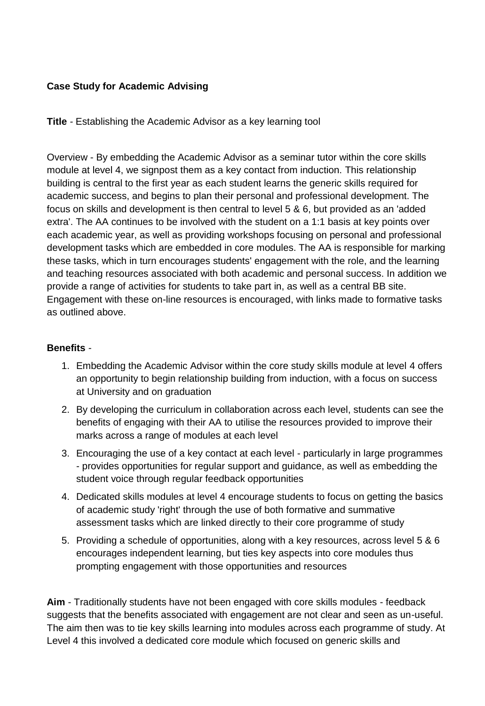## **Case Study for Academic Advising**

**Title** *-* Establishing the Academic Advisor as a key learning tool

Overview - By embedding the Academic Advisor as a seminar tutor within the core skills module at level 4, we signpost them as a key contact from induction. This relationship building is central to the first year as each student learns the generic skills required for academic success, and begins to plan their personal and professional development. The focus on skills and development is then central to level 5 & 6, but provided as an 'added extra'. The AA continues to be involved with the student on a 1:1 basis at key points over each academic year, as well as providing workshops focusing on personal and professional development tasks which are embedded in core modules. The AA is responsible for marking these tasks, which in turn encourages students' engagement with the role, and the learning and teaching resources associated with both academic and personal success. In addition we provide a range of activities for students to take part in, as well as a central BB site. Engagement with these on-line resources is encouraged, with links made to formative tasks as outlined above.

#### **Benefits** *-*

- 1. Embedding the Academic Advisor within the core study skills module at level 4 offers an opportunity to begin relationship building from induction, with a focus on success at University and on graduation
- 2. By developing the curriculum in collaboration across each level, students can see the benefits of engaging with their AA to utilise the resources provided to improve their marks across a range of modules at each level
- 3. Encouraging the use of a key contact at each level particularly in large programmes - provides opportunities for regular support and guidance, as well as embedding the student voice through regular feedback opportunities
- 4. Dedicated skills modules at level 4 encourage students to focus on getting the basics of academic study 'right' through the use of both formative and summative assessment tasks which are linked directly to their core programme of study
- 5. Providing a schedule of opportunities, along with a key resources, across level 5 & 6 encourages independent learning, but ties key aspects into core modules thus prompting engagement with those opportunities and resources

**Aim** - Traditionally students have not been engaged with core skills modules - feedback suggests that the benefits associated with engagement are not clear and seen as un-useful. The aim then was to tie key skills learning into modules across each programme of study. At Level 4 this involved a dedicated core module which focused on generic skills and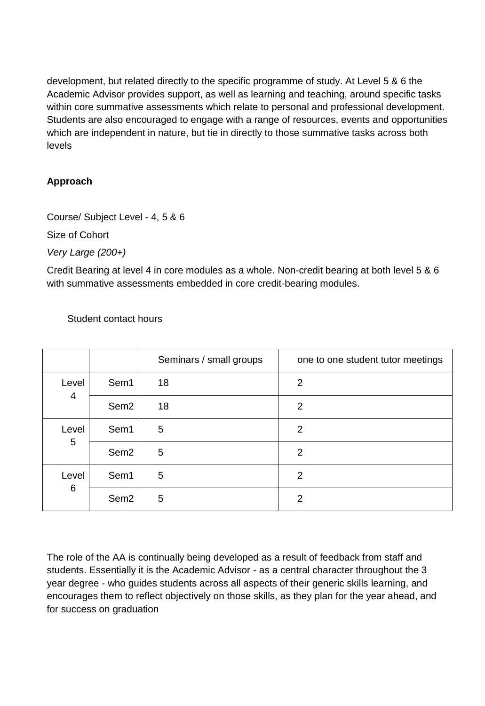development, but related directly to the specific programme of study. At Level 5 & 6 the Academic Advisor provides support, as well as learning and teaching, around specific tasks within core summative assessments which relate to personal and professional development. Students are also encouraged to engage with a range of resources, events and opportunities which are independent in nature, but tie in directly to those summative tasks across both levels

# **Approach**

Course/ Subject Level - 4, 5 & 6

Size of Cohort

*Very Large (200+)*

Credit Bearing at level 4 in core modules as a whole. Non-credit bearing at both level 5 & 6 with summative assessments embedded in core credit-bearing modules.

|                         |                  | Seminars / small groups | one to one student tutor meetings |
|-------------------------|------------------|-------------------------|-----------------------------------|
| Level<br>$\overline{4}$ | Sem1             | 18                      | $\overline{2}$                    |
|                         | Sem <sub>2</sub> | 18                      | 2                                 |
| Level<br>5              | Sem1             | 5                       | 2                                 |
|                         | Sem <sub>2</sub> | 5                       | $\overline{2}$                    |
| Level<br>6              | Sem1             | 5                       | $\overline{2}$                    |
|                         | Sem <sub>2</sub> | 5                       | $\overline{2}$                    |

Student contact hours

The role of the AA is continually being developed as a result of feedback from staff and students. Essentially it is the Academic Advisor - as a central character throughout the 3 year degree - who guides students across all aspects of their generic skills learning, and encourages them to reflect objectively on those skills, as they plan for the year ahead, and for success on graduation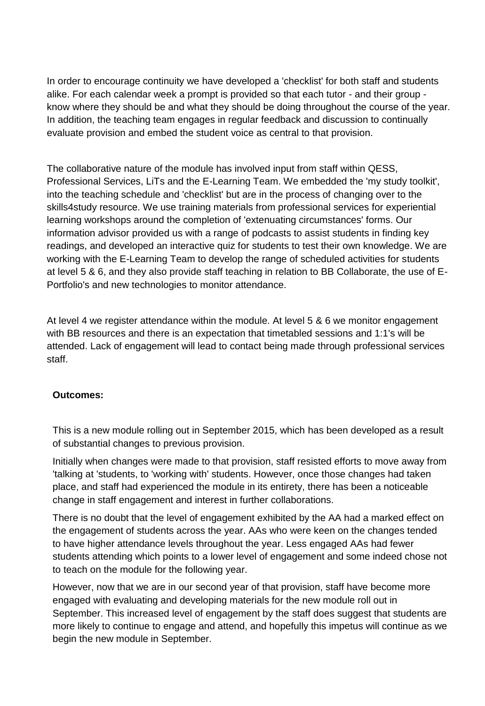In order to encourage continuity we have developed a 'checklist' for both staff and students alike. For each calendar week a prompt is provided so that each tutor - and their group know where they should be and what they should be doing throughout the course of the year. In addition, the teaching team engages in regular feedback and discussion to continually evaluate provision and embed the student voice as central to that provision.

The collaborative nature of the module has involved input from staff within QESS, Professional Services, LiTs and the E-Learning Team. We embedded the 'my study toolkit', into the teaching schedule and 'checklist' but are in the process of changing over to the skills4study resource. We use training materials from professional services for experiential learning workshops around the completion of 'extenuating circumstances' forms. Our information advisor provided us with a range of podcasts to assist students in finding key readings, and developed an interactive quiz for students to test their own knowledge. We are working with the E-Learning Team to develop the range of scheduled activities for students at level 5 & 6, and they also provide staff teaching in relation to BB Collaborate, the use of E-Portfolio's and new technologies to monitor attendance.

At level 4 we register attendance within the module. At level 5 & 6 we monitor engagement with BB resources and there is an expectation that timetabled sessions and 1:1's will be attended. Lack of engagement will lead to contact being made through professional services staff.

## **Outcomes:**

This is a new module rolling out in September 2015, which has been developed as a result of substantial changes to previous provision.

Initially when changes were made to that provision, staff resisted efforts to move away from 'talking at 'students, to 'working with' students. However, once those changes had taken place, and staff had experienced the module in its entirety, there has been a noticeable change in staff engagement and interest in further collaborations.

There is no doubt that the level of engagement exhibited by the AA had a marked effect on the engagement of students across the year. AAs who were keen on the changes tended to have higher attendance levels throughout the year. Less engaged AAs had fewer students attending which points to a lower level of engagement and some indeed chose not to teach on the module for the following year.

However, now that we are in our second year of that provision, staff have become more engaged with evaluating and developing materials for the new module roll out in September. This increased level of engagement by the staff does suggest that students are more likely to continue to engage and attend, and hopefully this impetus will continue as we begin the new module in September.